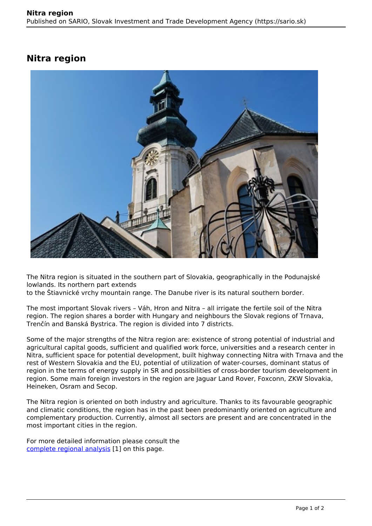## **Nitra region**



The Nitra region is situated in the southern part of Slovakia, geographically in the Podunajské lowlands. Its northern part extends

to the Štiavnické vrchy mountain range. The Danube river is its natural southern border.

The most important Slovak rivers – Váh, Hron and Nitra – all irrigate the fertile soil of the Nitra region. The region shares a border with Hungary and neighbours the Slovak regions of Trnava, Trenčín and Banská Bystrica. The region is divided into 7 districts.

Some of the major strengths of the Nitra region are: existence of strong potential of industrial and agricultural capital goods, sufficient and qualified work force, universities and a research center in Nitra, sufficient space for potential development, built highway connecting Nitra with Trnava and the rest of Western Slovakia and the EU, potential of utilization of water-courses, dominant status of region in the terms of energy supply in SR and possibilities of cross-border tourism development in region. Some main foreign investors in the region are Jaguar Land Rover, Foxconn, ZKW Slovakia, Heineken, Osram and Secop.

The Nitra region is oriented on both industry and agriculture. Thanks to its favourable geographic and climatic conditions, the region has in the past been predominantly oriented on agriculture and complementary production. Currently, almost all sectors are present and are concentrated in the most important cities in the region.

For more detailed information please consult the [complete regional analysis](https://www.sario.sk/sites/default/files/content/files/Nitra%20Region.pdf) [1] on this page.